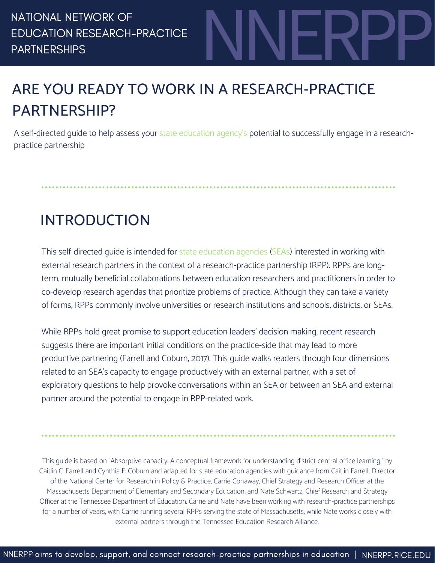

# ARE YOU READY TO WORK IN A RESEARCH-PRACTICE PARTNERSHIP?

A self-directed guide to help assess your state education agency's potential to successfully engage in a researchpractice partnership

# INTRODUCTION

This self-directed guide is intended for state education agencies (SEAs) interested in working with external research partners in the context of a research-practice partnership (RPP). RPPs are longterm, mutually beneficial collaborations between education researchers and practitioners in order to co-develop research agendas that prioritize problems of practice. Although they can take a variety of forms, RPPs commonly involve universities or research institutions and schools, districts, or SEAs.

While RPPs hold great promise to support education leaders' decision making, recent research suggests there are important initial conditions on the practice-side that may lead to more productive partnering (Farrell and Coburn, 2017). This guide walks readers through four dimensions related to an SEA's capacity to engage productively with an external partner, with a set of exploratory questions to help provoke conversations within an SEA or between an SEA and external partner around the potential to engage in RPP-related work.

This guide is based on "Absorptive capacity: A conceptual framework for understanding district central office learning," by Caitlin C. Farrell and Cynthia E. Coburn and adapted for state education agencies with guidance from Caitlin Farrell, Director of the National Center for Research in Policy & Practice, Carrie Conaway, Chief Strategy and Research Officer at the Massachusetts Department of Elementary and Secondary Education, and Nate Schwartz, Chief Research and Strategy Officer at the Tennessee Department of Education. Carrie and Nate have been working with research-practice partnerships for a number of years, with Carrie running several RPPs serving the state of Massachusetts, while Nate works closely with external partners through the Tennessee Education Research Alliance.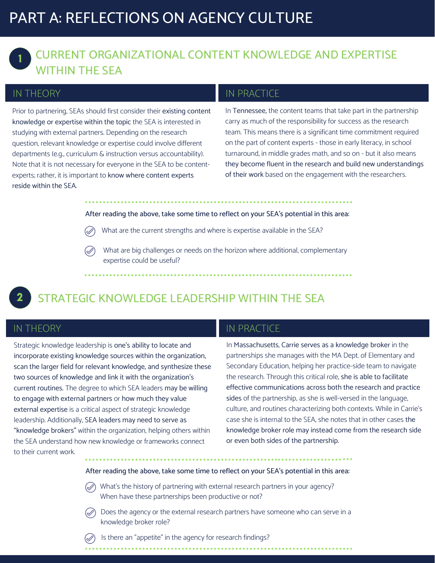# PART A: REFLECTIONS ON AGENCY CULTURE

# 1

## CURRENT ORGANIZATIONAL CONTENT KNOWLEDGE AND EXPERTISE WITHIN THE SEA

Prior to partnering, SEAs should first consider their existing content knowledge or expertise within the topic the SEA is interested in studying with external partners. Depending on the research question, relevant knowledge or expertise could involve different departments (e.g., curriculum & instruction versus accountability). Note that it is not necessary for everyone in the SEA to be contentexperts; rather, it is important to know where content experts reside within the SEA.

### IN THEORY IN THEORY IN THE SERVICE IN PRACTICE

In Tennessee, the content teams that take part in the partnership carry as much of the responsibility for success as the research team. This means there is a significant time commitment required on the part of content experts - those in early literacy, in school turnaround, in middle grades math, and so on - but it also means they become fluent in the research and build new understandings of their work based on the engagement with the researchers.

After reading the above, take some time to reflect on your SEA's potential in this area:

What are the current strengths and where is expertise available in the SEA?

What are big challenges or needs on the horizon where additional, complementary expertise could be useful?

2

# STRATEGIC KNOWLEDGE LEADERSHIP WITHIN THE SEA

Strategic knowledge leadership is one's ability to locate and incorporate existing knowledge sources within the organization, scan the larger field for relevant knowledge, and synthesize these two sources of knowledge and link it with the organization's current routines. The degree to which SEA leaders may be willing to engage with external partners or how much they value external expertise is a critical aspect of strategic knowledge leadership. Additionally, SEA leaders may need to serve as "knowledge brokers" within the organization, helping others within the SEA understand how new knowledge or frameworks connect to their current work.

### IN THEORY IN THEORY IN THE SECOND ASSESSMENT OF THE SECOND IN PRACTICE

In Massachusetts, Carrie serves as a knowledge broker in the partnerships she manages with the MA Dept. of Elementary and Secondary Education, helping her practice-side team to navigate the research. Through this critical role, she is able to facilitate effective communications across both the research and practice sides of the partnership, as she is well-versed in the language, culture, and routines characterizing both contexts. While in Carrie's case she is internal to the SEA, she notes that in other cases the knowledge broker role may instead come from the research side or even both sides of the partnership.

After reading the above, take some time to reflect on your SEA's potential in this area:

What's the history of partnering with external research partners in your agency? When have these partnerships been productive or not?

 $\oslash$  Does the agency or the external research partners have someone who can serve in a knowledge broker role?

Is there an "appetite" in the agency for research findings?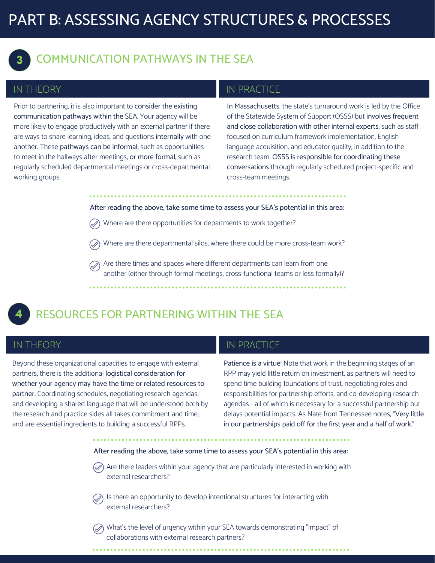# PART B: ASSESSING AGENCY STRUCTURES & PROCESSES



## COMMUNICATION PATHWAYS IN THE SEA

Prior to partnering, it is also important to consider the existing communication pathways within the SEA. Your agency will be more likely to engage productively with an external partner if there are ways to share learning, ideas, and questions internally with one another. These pathways can be informal, such as opportunities to meet in the hallways after meetings, or more formal, such as regularly scheduled departmental meetings or cross-departmental working groups.

### IN THEORY IN THEORY IN PRACTICE

In Massachusetts, the state's turnaround work is led by the Office of the Statewide System of Support (OSSS) but involves frequent and close collaboration with other internal experts, such as staff focused on curriculum framework implementation, English language acquisition, and educator quality, in addition to the research team. OSSS is responsible for coordinating these conversations through regularly scheduled project-specific and cross-team meetings.

### After reading the above, take some time to assess your SEA's potential in this area:

Where are there opportunities for departments to work together?

Where are there departmental silos, where there could be more cross-team work?

Are there times and spaces where different departments can learn from one another (either through formal meetings, cross-functional teams or less formally)?

4

## RESOURCES FOR PARTNERING WITHIN THE SEA

Beyond these organizational capacities to engage with external partners, there is the additional logistical consideration for whether your agency may have the time or related resources to partner. Coordinating schedules, negotiating research agendas, and developing a shared language that will be understood both by the research and practice sides all takes commitment and time, and are essential ingredients to building a successful RPPs.

## IN THEORY **IN PRACTICE**

Patience is a virtue: Note that work in the beginning stages of an RPP may yield little return on investment, as partners will need to spend time building foundations of trust, negotiating roles and responsibilities for partnership efforts, and co-developing research agendas - all of which is necessary for a successful partnership but delays potential impacts. As Nate from Tennessee notes, "Very little in our partnerships paid off for the first year and a half of work."

After reading the above, take some time to assess your SEA's potential in this area:

Are there leaders within your agency that are particularly interested in working with external researchers?

Is there an opportunity to develop intentional structures for interacting with external researchers?

What's the level of urgency within your SEA towards demonstrating "impact" of collaborations with external research partners?